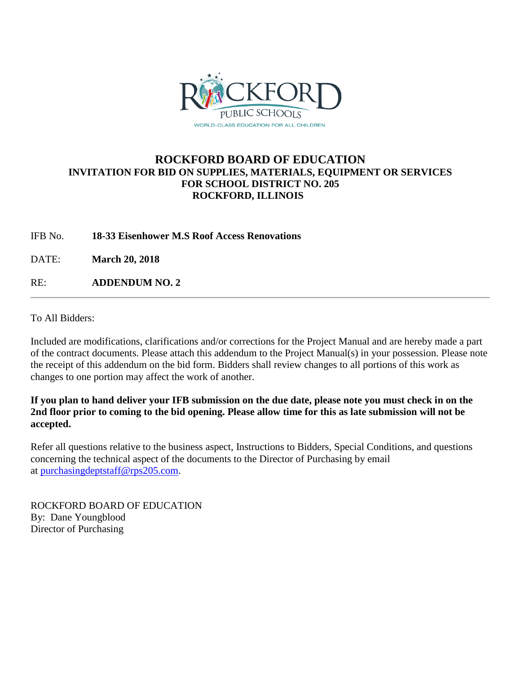

# **ROCKFORD BOARD OF EDUCATION INVITATION FOR BID ON SUPPLIES, MATERIALS, EQUIPMENT OR SERVICES FOR SCHOOL DISTRICT NO. 205 ROCKFORD, ILLINOIS**

IFB No. **18-33 Eisenhower M.S Roof Access Renovations**

DATE: **March 20, 2018**

RE: **ADDENDUM NO. 2**

To All Bidders:

Included are modifications, clarifications and/or corrections for the Project Manual and are hereby made a part of the contract documents. Please attach this addendum to the Project Manual(s) in your possession. Please note the receipt of this addendum on the bid form. Bidders shall review changes to all portions of this work as changes to one portion may affect the work of another.

## **If you plan to hand deliver your IFB submission on the due date, please note you must check in on the 2nd floor prior to coming to the bid opening. Please allow time for this as late submission will not be accepted.**

Refer all questions relative to the business aspect, Instructions to Bidders, Special Conditions, and questions concerning the technical aspect of the documents to the Director of Purchasing by email at [purchasingdeptstaff@rps205.com.](mailto:purchasingdeptstaff@rps205.com)

ROCKFORD BOARD OF EDUCATION By: Dane Youngblood Director of Purchasing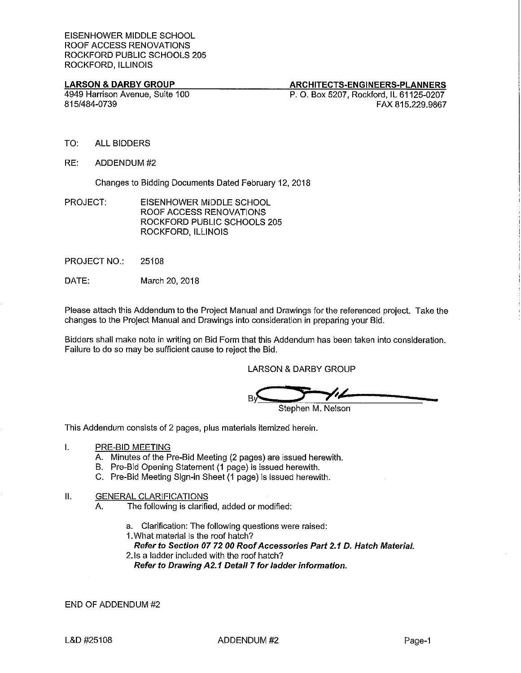### **LARSON & DARBY GROUP**

**ARCHITECTS-ENGINEERS-PLANNERS** 

4949 Harrison Avenue, Suite 100 815/484-0739

### P. O. Box 5207, Rockford, IL 61125-0207 FAX 815.229.9867

- TO: **ALL BIDDERS**
- RE: ADDENDUM#2

Changes to Bidding Documents Dated February 12, 2018

- PROJECT: EISENHOWER MIDDLE SCHOOL ROOF ACCESS RENOVATIONS ROCKFORD PUBLIC SCHOOLS 205 ROCKFORD, ILLINOIS
- **PROJECT NO:** 25108
- DATE: March 20, 2018

Please attach this Addendum to the Project Manual and Drawings for the referenced project. Take the changes to the Project Manual and Drawings into consideration in preparing your Bid.

Bidders shall make note in writing on Bid Form that this Addendum has been taken into consideration. Failure to do so may be sufficient cause to reject the Bid.

**LARSON & DARBY GROUP** 

'ı L

Stephen M. Nelson

This Addendum consists of 2 pages, plus materials itemized herein.

- $\mathbf{L}$ PRE-BID MEETING
	- A. Minutes of the Pre-Bid Meeting (2 pages) are issued herewith.
	- B. Pre-Bid Opening Statement (1 page) is issued herewith.
	- C. Pre-Bid Meeting Sign-in Sheet (1 page) is issued herewith.

#### ΙΙ. **GENERAL CLARIFICATIONS**

- The following is clarified, added or modified: А.
	- a. Clarification: The following questions were raised:
	- 1. What material is the roof hatch?
	- Refer to Section 07 72 00 Roof Accessories Part 2.1 D. Hatch Material.
	- 2. Is a ladder included with the roof hatch?
		- Refer to Drawing A2.1 Detail 7 for ladder information.

END OF ADDENDUM #2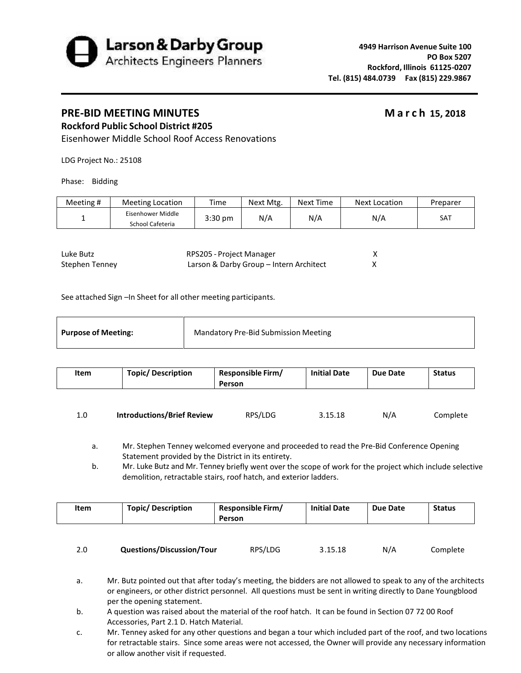

## **PRE‐BID MEETING MINUTES March 15, 2018**

# **Rockford Public School District #205**

Eisenhower Middle School Roof Access Renovations

LDG Project No.: 25108

Phase: Bidding

| Meeting # | <b>Meeting Location</b>               | Time      | Next Mtg. | Next Time | Next Location | Preparer |
|-----------|---------------------------------------|-----------|-----------|-----------|---------------|----------|
|           | Eisenhower Middle<br>School Cafeteria | $3:30$ pm | N/A       | N/A       | N/A           | SAT      |

| Luke Butz      | RPS205 - Project Manager                |  |
|----------------|-----------------------------------------|--|
| Stephen Tenney | Larson & Darby Group – Intern Architect |  |

See attached Sign –In Sheet for all other meeting participants.

| Item | <b>Topic/ Description</b> | <b>Responsible Firm/</b><br>Person | <b>Initial Date</b> | Due Date | <b>Status</b> |
|------|---------------------------|------------------------------------|---------------------|----------|---------------|
|      |                           |                                    |                     |          |               |

| 1.0 | <b>Introductions/Brief Review</b> | RPS/LDG | 3.15.18 | N/A | Complete |
|-----|-----------------------------------|---------|---------|-----|----------|
|     |                                   |         |         |     |          |

a. Mr. Stephen Tenney welcomed everyone and proceeded to read the Pre-Bid Conference Opening Statement provided by the District in its entirety.

b. Mr. Luke Butz and Mr. Tenney briefly went over the scope of work for the project which include selective demolition, retractable stairs, roof hatch, and exterior ladders.

| Item | <b>Topic/ Description</b> | <b>Responsible Firm/</b><br>Person | <b>Initial Date</b> | Due Date | <b>Status</b> |
|------|---------------------------|------------------------------------|---------------------|----------|---------------|
| 2.0  | Questions/Discussion/Tour | RPS/LDG                            | 3.15.18             | N/A      | Complete      |

- a. Mr. Butz pointed out that after today's meeting, the bidders are not allowed to speak to any of the architects or engineers, or other district personnel. All questions must be sent in writing directly to Dane Youngblood per the opening statement.
- b. A question was raised about the material of the roof hatch. It can be found in Section 07 72 00 Roof Accessories, Part 2.1 D. Hatch Material.
- c. Mr. Tenney asked for any other questions and began a tour which included part of the roof, and two locations for retractable stairs. Since some areas were not accessed, the Owner will provide any necessary information or allow another visit if requested.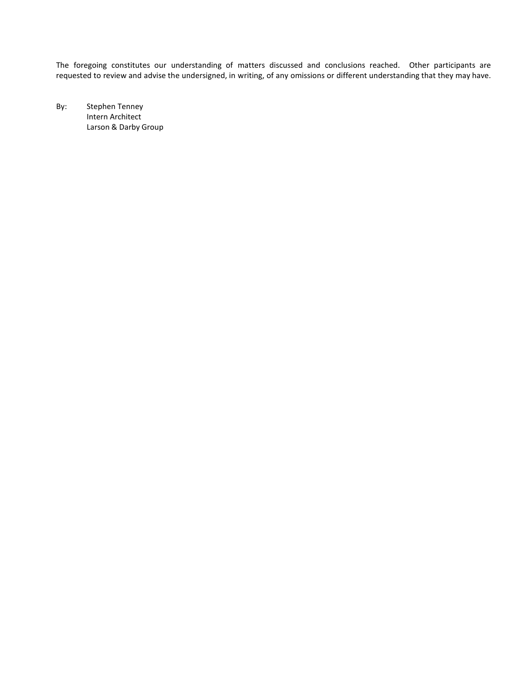The foregoing constitutes our understanding of matters discussed and conclusions reached. Other participants are requested to review and advise the undersigned, in writing, of any omissions or different understanding that they may have.

By: Stephen Tenney Intern Architect Larson & Darby Group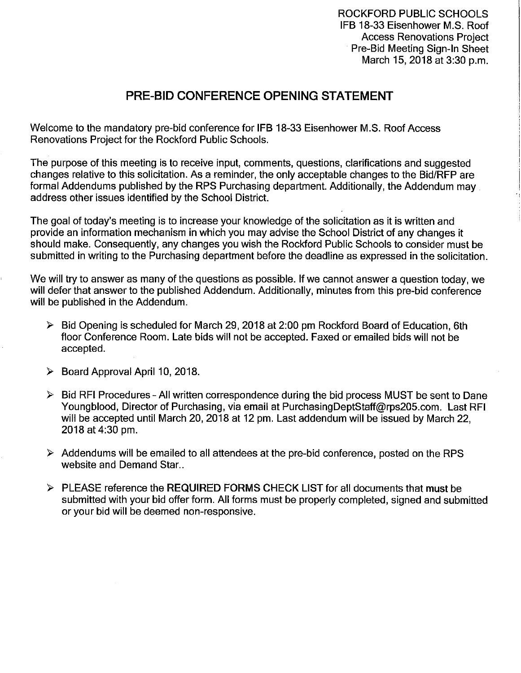ROCKFORD PUBLIC SCHOOLS IFB 18-33 Eisenhower M.S. Roof **Access Renovations Project** Pre-Bid Meeting Sign-In Sheet March 15, 2018 at 3:30 p.m.

# PRE-BID CONFERENCE OPENING STATEMENT

Welcome to the mandatory pre-bid conference for IFB 18-33 Eisenhower M.S. Roof Access Renovations Project for the Rockford Public Schools.

The purpose of this meeting is to receive input, comments, questions, clarifications and suggested changes relative to this solicitation. As a reminder, the only acceptable changes to the Bid/RFP are formal Addendums published by the RPS Purchasing department. Additionally, the Addendum may address other issues identified by the School District.

The goal of today's meeting is to increase your knowledge of the solicitation as it is written and provide an information mechanism in which you may advise the School District of any changes it should make. Consequently, any changes you wish the Rockford Public Schools to consider must be submitted in writing to the Purchasing department before the deadline as expressed in the solicitation.

We will try to answer as many of the questions as possible. If we cannot answer a question today, we will defer that answer to the published Addendum. Additionally, minutes from this pre-bid conference will be published in the Addendum.

- $\triangleright$  Bid Opening is scheduled for March 29, 2018 at 2:00 pm Rockford Board of Education, 6th floor Conference Room. Late bids will not be accepted. Faxed or emailed bids will not be accepted.
- > Board Approval April 10, 2018.
- $\triangleright$  Bid RFI Procedures All written correspondence during the bid process MUST be sent to Dane Youngblood, Director of Purchasing, via email at PurchasingDeptStaff@rps205.com. Last RFI will be accepted until March 20, 2018 at 12 pm. Last addendum will be issued by March 22. 2018 at 4:30 pm.
- $\triangleright$  Addendums will be emailed to all attendees at the pre-bid conference, posted on the RPS website and Demand Star...
- > PLEASE reference the REQUIRED FORMS CHECK LIST for all documents that must be submitted with your bid offer form. All forms must be properly completed, signed and submitted or your bid will be deemed non-responsive.